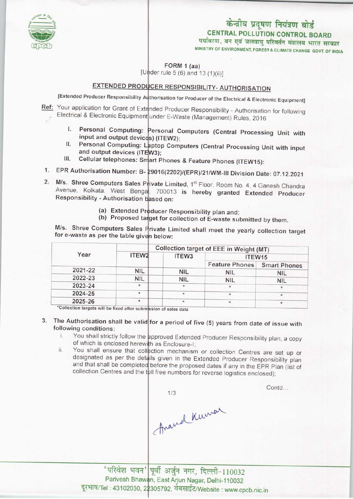

MINISTRY OF ENVIRONMENT, FOREST & CLIMATE CHANGE GOVT. OF INDIA

FORM 1 (aa)

[Under rule 5 (6) and 13 (1)(ii)]

### EXTENDED PRODUCER RESPONSIBILITY- AUTHORISATION

[Extended Producer Responsibility Authorisation for Producer of the Electrical & Electronic Equipment

Ref: Your application for Grant of Extended Producer Responsibility - Authorisation for following Electrical & Electronic Equipment under E-Waste (Management) Rules, 2016

- I. Personal Computing: Personal Computers (Central Processing Unit with input and output devices) (ITEW2);
- II. Personal Computing: Laptop Computers (Central Processing Unit with input and output devices (ITEW3);
- III. Cellular telephones: Smart Phones & Feature Phones (ITEW15):
- 1. EPR Authorisation Number: B- 29016(2202)/(EPR)/21/WM-III Division Date: 07.12.2021
- 2. M/s. Shree Computers Sales Private Limited, 1<sup>st</sup> Floor, Room No. 4, 4 Ganesh Chandra Avenue, Kolkata, West Benga<sup>l</sup>, 700013 is hereby granted Extended Producer Responsibility - Authorisation based on:
	- (a) Extended Producer Responsibility plan and;
	- (b) Proposed target for collection of E-waste submitted by them.

M/s. Shree Computers Sales Private Limited shall meet the yearly collection target for e-waste as per the table given below:

| Year    |            | Collection target of EEE in Weight (MT) |                       |                     |
|---------|------------|-----------------------------------------|-----------------------|---------------------|
|         | ITEW2      | ITEW3                                   | ITEW15                |                     |
|         |            |                                         | <b>Feature Phones</b> | <b>Smart Phones</b> |
| 2021-22 | <b>NIL</b> | <b>NIL</b>                              | <b>NIL</b>            | <b>NIL</b>          |
| 2022-23 | <b>NIL</b> | <b>NIL</b>                              | <b>NIL</b>            | <b>NIL</b>          |
| 2023-24 | $\star$    | $\star$                                 |                       |                     |
| 2024-25 | *          |                                         |                       |                     |
| 2025-26 | $\star$    | $\star$                                 | $\star$               |                     |

'Collection targets will be fixed after submission of sales data

- 3. The Authorisation shall be valid for a period of five (5) years from date of issue with following conditions:
	- i. You shall strictly follow the approved Extended Producer Responsibility plan, a copy of which is enclosed herewith as Enclosure-I
	- ii. You shall ensure that collection mechanism or collection Centres are set up or designated as per the details given in the Extended Producer Responsibility plan and that shall be completed before the proposed dates if any in the EPR Plan (list of collection Centres and the toll free numbers for reverse logistics enclosed)

Anamal Kumar

Contd...

' परिवेश भवन' पूर्वी अर्जुन नगर, दिल्ली-110032 Parivesh Bhawan, East Arjun Nagar, Delhi-110032 Parivesh Bhawan, East Arjun Nagar, Delhi-110032<br>दूरभाष/Tel : 43102030, 22305792, वेबसाईट/Website : www.cpcb.nic.in

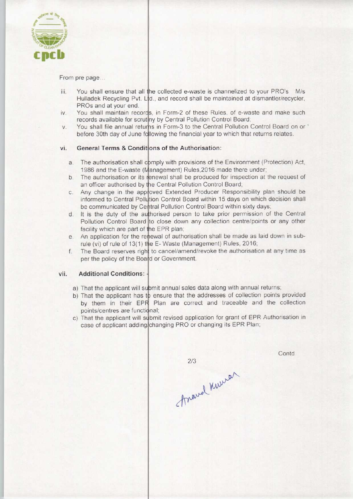

From pre page..

- You shall ensure that all the collected e-waste is channelized to your PRO's M/s iii. Hulladek Recycling Pvt. Ltd., and record shall be maintained at dismantler/recycler PROs and at your end.
- You shall maintain records, in Form-2 of these Rules, of e-waste and make such iv. records available for scrutiny by Central Pollution Control Board
- You shall file annual returns in Form-3 to the Central Pollution Control Board on or  $V_{\cdot}$ before 30th day of June following the financial year to which that returns relates.

## vi. General Terms & Conditions of the Authorisation:

- imply with provisions of the Environment (Protection) Act, a.g. The authorisation shall comply with provisions of the Environment (Protection) Act 1986 and the E-waste (Management) Rules,2016 made there under
- 1986 and the E-waste (Management) Rules, 2016 made there under;<br>b. The authorisation or its renewal shall be produced for inspection at the request of an officer authorised by the Central Pollution Control Board
- an officer authorised by the Central Pollution Control Board;<br>
c. Any change in the approved Extended Producer Responsibility plan should be<br>
informed to Central Pollution Central Board within 15 days an which designe abol informed to Central Pollution Control Board within 15 days on which decision shall be communicated by Central Pollution Control Board within sixty days
- be communicated by Central Pollution Control Board within sixty days;<br>d. It is the duty of the authorised person to take prior permission of the Central<br>Religion Central Board to also down any cellection contrologists or a Pollution Control Board to close down any collection centre/points or any other facility which are part of the EPR plan;
- facility which are part of the EPR plan;<br>e. An application for the renewal of authorisation shall be made as laid down in sub-
- rule (vi) of rule of 13(1) the E- Waste (Management) Rules, 2016<br>f. The Board reserves right to cancel/amend/revoke the authorisat The Board reserves right to cancel/amend/revoke the authorisation at any time as per the policy of the Board or Government.

#### vii. Additional Conditions:

- a) That the applicant will submit annual sales data along with annual returns
- b) That the applicant has to ensure that the addresses of collection points provided by them in their EPR Plan are correct and traceable and the collection points/centres are functional
- c) That the applicant will submit revised application for grant of EPR Authorisation in case of applicant adding/changing PRO or changing its EPR Plan

 $2/3$ Anavel Knewar

Contd